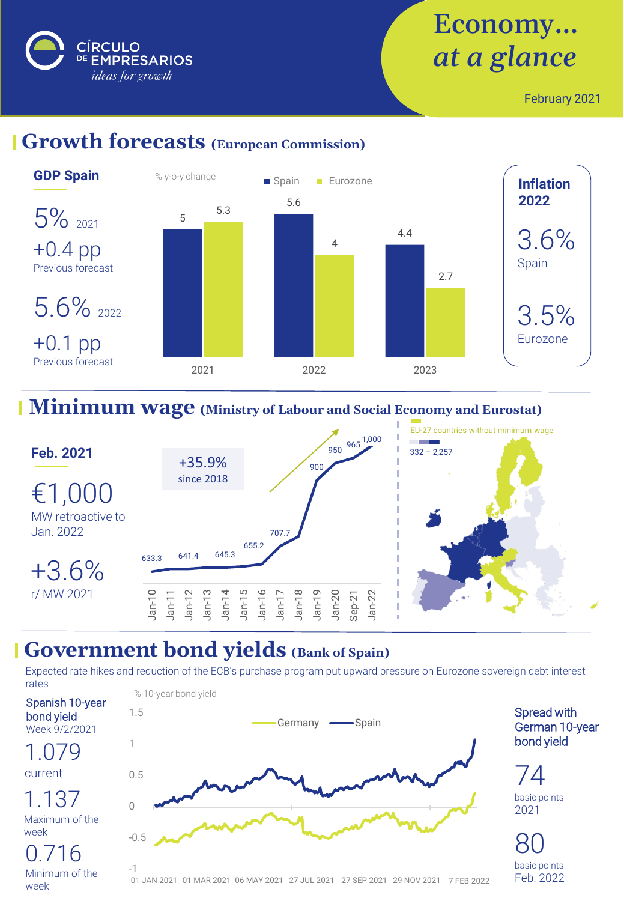

# Economy… *at a glance*

February 2021

## **Growth forecasts (European Commission)**



## **Minimum wage (Ministry of Labour and Social Economy and Eurostat)**



#### **Government bond yields (Bank of Spain)**

Expected rate hikes and reduction of the ECB's purchase program put upward pressure on Eurozone sovereign debt interest rates